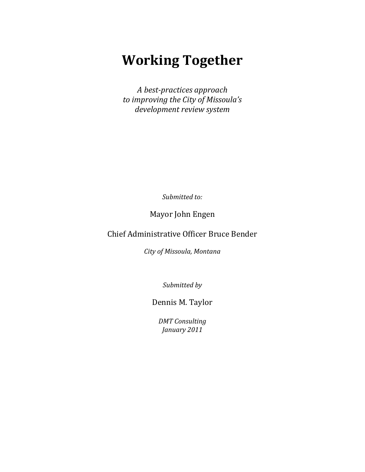# **Working Together**

*A best-practices approach to improving the City of Missoula's development review system*

*Submitted to:*

Mayor John Engen

Chief Administrative Officer Bruce Bender

*City of Missoula, Montana*

*Submitted by*

Dennis M. Taylor

*DMT Consulting January 2011*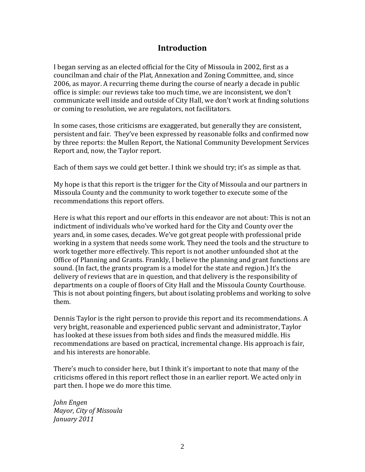# **Introduction**

I began serving as an elected official for the City of Missoula in 2002, first as a councilman and chair of the Plat, Annexation and Zoning Committee, and, since 2006, as mayor. A recurring theme during the course of nearly a decade in public office is simple: our reviews take too much time, we are inconsistent, we don't communicate well inside and outside of City Hall, we don't work at finding solutions or coming to resolution, we are regulators, not facilitators.

In some cases, those criticisms are exaggerated, but generally they are consistent, persistent and fair. They've been expressed by reasonable folks and confirmed now by three reports: the Mullen Report, the National Community Development Services Report and, now, the Taylor report.

Each of them says we could get better. I think we should try; it's as simple as that.

My hope is that this report is the trigger for the City of Missoula and our partners in Missoula County and the community to work together to execute some of the recommendations this report offers.

Here is what this report and our efforts in this endeavor are not about: This is not an indictment of individuals who've worked hard for the City and County over the years and, in some cases, decades. We've got great people with professional pride working in a system that needs some work. They need the tools and the structure to work together more effectively. This report is not another unfounded shot at the Office of Planning and Grants. Frankly, I believe the planning and grant functions are sound. (In fact, the grants program is a model for the state and region.) It's the delivery of reviews that are in question, and that delivery is the responsibility of departments on a couple of floors of City Hall and the Missoula County Courthouse. This is not about pointing fingers, but about isolating problems and working to solve them.

Dennis Taylor is the right person to provide this report and its recommendations. A very bright, reasonable and experienced public servant and administrator, Taylor has looked at these issues from both sides and finds the measured middle. His recommendations are based on practical, incremental change. His approach is fair, and his interests are honorable.

There's much to consider here, but I think it's important to note that many of the criticisms offered in this report reflect those in an earlier report. We acted only in part then. I hope we do more this time.

*John Engen Mayor, City of Missoula January 2011*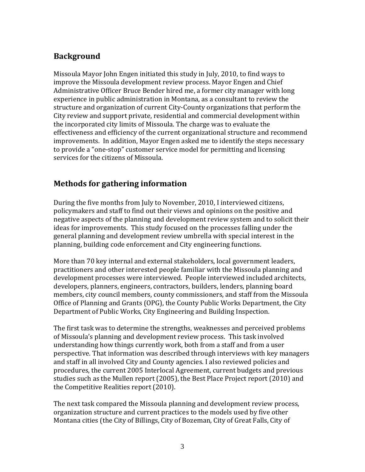# **Background**

Missoula Mayor John Engen initiated this study in July, 2010, to find ways to improve the Missoula development review process. Mayor Engen and Chief Administrative Officer Bruce Bender hired me, a former city manager with long experience in public administration in Montana, as a consultant to review the structure and organization of current City-County organizations that perform the City review and support private, residential and commercial development within the incorporated city limits of Missoula. The charge was to evaluate the effectiveness and efficiency of the current organizational structure and recommend improvements. In addition, Mayor Engen asked me to identify the steps necessary to provide a "one-stop" customer service model for permitting and licensing services for the citizens of Missoula.

# **Methods for gathering information**

During the five months from July to November, 2010, I interviewed citizens, policymakers and staff to find out their views and opinions on the positive and negative aspects of the planning and development review system and to solicit their ideas for improvements. This study focused on the processes falling under the general planning and development review umbrella with special interest in the planning, building code enforcement and City engineering functions.

More than 70 key internal and external stakeholders, local government leaders, practitioners and other interested people familiar with the Missoula planning and development processes were interviewed. People interviewed included architects, developers, planners, engineers, contractors, builders, lenders, planning board members, city council members, county commissioners, and staff from the Missoula Office of Planning and Grants (OPG), the County Public Works Department, the City Department of Public Works, City Engineering and Building Inspection.

The first task was to determine the strengths, weaknesses and perceived problems of Missoula's planning and development review process. This task involved understanding how things currently work, both from a staff and from a user perspective. That information was described through interviews with key managers and staff in all involved City and County agencies. I also reviewed policies and procedures, the current 2005 Interlocal Agreement, current budgets and previous studies such as the Mullen report (2005), the Best Place Project report (2010) and the Competitive Realities report (2010).

The next task compared the Missoula planning and development review process, organization structure and current practices to the models used by five other Montana cities (the City of Billings, City of Bozeman, City of Great Falls, City of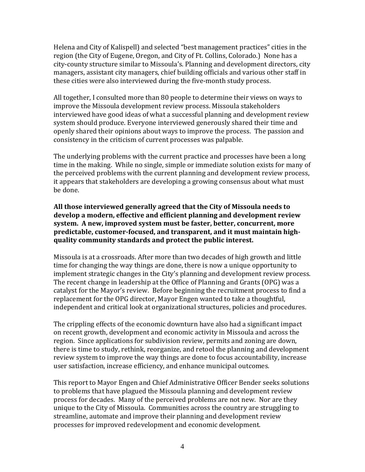Helena and City of Kalispell) and selected "best management practices" cities in the region (the City of Eugene, Oregon, and City of Ft. Collins, Colorado.) None has a city-county structure similar to Missoula's. Planning and development directors, city managers, assistant city managers, chief building officials and various other staff in these cities were also interviewed during the five-month study process.

All together, I consulted more than 80 people to determine their views on ways to improve the Missoula development review process. Missoula stakeholders interviewed have good ideas of what a successful planning and development review system should produce. Everyone interviewed generously shared their time and openly shared their opinions about ways to improve the process. The passion and consistency in the criticism of current processes was palpable.

The underlying problems with the current practice and processes have been a long time in the making. While no single, simple or immediate solution exists for many of the perceived problems with the current planning and development review process, it appears that stakeholders are developing a growing consensus about what must be done.

#### **All those interviewed generally agreed that the City of Missoula needs to develop a modern, effective and efficient planning and development review system. A new, improved system must be faster, better, concurrent, more predictable, customer-focused, and transparent, and it must maintain highquality community standards and protect the public interest.**

Missoula is at a crossroads. After more than two decades of high growth and little time for changing the way things are done, there is now a unique opportunity to implement strategic changes in the City's planning and development review process. The recent change in leadership at the Office of Planning and Grants (OPG) was a catalyst for the Mayor's review. Before beginning the recruitment process to find a replacement for the OPG director, Mayor Engen wanted to take a thoughtful, independent and critical look at organizational structures, policies and procedures.

The crippling effects of the economic downturn have also had a significant impact on recent growth, development and economic activity in Missoula and across the region. Since applications for subdivision review, permits and zoning are down, there is time to study, rethink, reorganize, and retool the planning and development review system to improve the way things are done to focus accountability, increase user satisfaction, increase efficiency, and enhance municipal outcomes.

This report to Mayor Engen and Chief Administrative Officer Bender seeks solutions to problems that have plagued the Missoula planning and development review process for decades. Many of the perceived problems are not new. Nor are they unique to the City of Missoula. Communities across the country are struggling to streamline, automate and improve their planning and development review processes for improved redevelopment and economic development.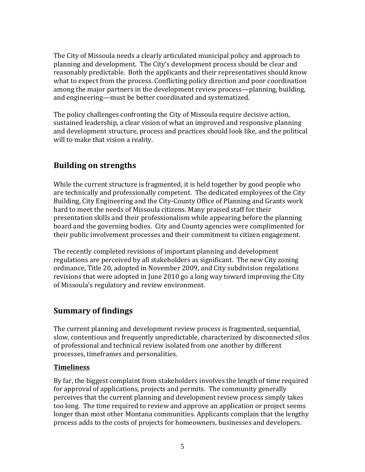The City of Missoula needs a clearly articulated municipal policy and approach to planning and development. The City's development process should be clear and reasonably predictable. Both the applicants and their representatives should know what to expect from the process. Conflicting policy direction and poor coordination among the major partners in the development review process—planning, building, and engineering—must be better coordinated and systematized.

The policy challenges confronting the City of Missoula require decisive action, sustained leadership, a clear vision of what an improved and responsive planning and development structure, process and practices should look like, and the political will to make that vision a reality.

# **Building on strengths**

While the current structure is fragmented, it is held together by good people who are technically and professionally competent. The dedicated employees of the City Building, City Engineering and the City-County Office of Planning and Grants work hard to meet the needs of Missoula citizens. Many praised staff for their presentation skills and their professionalism while appearing before the planning board and the governing bodies. City and County agencies were complimented for their public involvement processes and their commitment to citizen engagement.

The recently completed revisions of important planning and development regulations are perceived by all stakeholders as significant. The new City zoning ordinance, Title 20, adopted in November 2009, and City subdivision regulations revisions that were adopted in June 2010 go a long way toward improving the City of Missoula's regulatory and review environment.

# **Summary of findings**

The current planning and development review process is fragmented, sequential, slow, contentious and frequently unpredictable, characterized by disconnected silos of professional and technical review isolated from one another by different processes, timeframes and personalities.

## **Timeliness**

By far, the biggest complaint from stakeholders involves the length of time required for approval of applications, projects and permits. The community generally perceives that the current planning and development review process simply takes too long. The time required to review and approve an application or project seems longer than most other Montana communities. Applicants complain that the lengthy process adds to the costs of projects for homeowners, businesses and developers.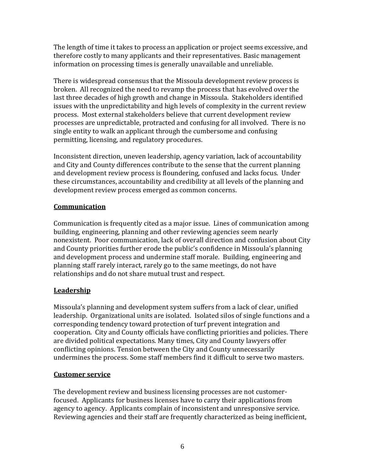The length of time it takes to process an application or project seems excessive, and therefore costly to many applicants and their representatives. Basic management information on processing times is generally unavailable and unreliable.

There is widespread consensus that the Missoula development review process is broken. All recognized the need to revamp the process that has evolved over the last three decades of high growth and change in Missoula. Stakeholders identified issues with the unpredictability and high levels of complexity in the current review process. Most external stakeholders believe that current development review processes are unpredictable, protracted and confusing for all involved. There is no single entity to walk an applicant through the cumbersome and confusing permitting, licensing, and regulatory procedures.

Inconsistent direction, uneven leadership, agency variation, lack of accountability and City and County differences contribute to the sense that the current planning and development review process is floundering, confused and lacks focus. Under these circumstances, accountability and credibility at all levels of the planning and development review process emerged as common concerns.

## **Communication**

Communication is frequently cited as a major issue. Lines of communication among building, engineering, planning and other reviewing agencies seem nearly nonexistent. Poor communication, lack of overall direction and confusion about City and County priorities further erode the public's confidence in Missoula's planning and development process and undermine staff morale. Building, engineering and planning staff rarely interact, rarely go to the same meetings, do not have relationships and do not share mutual trust and respect.

## **Leadership**

Missoula's planning and development system suffers from a lack of clear, unified leadership. Organizational units are isolated. Isolated silos of single functions and a corresponding tendency toward protection of turf prevent integration and cooperation. City and County officials have conflicting priorities and policies. There are divided political expectations. Many times, City and County lawyers offer conflicting opinions. Tension between the City and County unnecessarily undermines the process. Some staff members find it difficult to serve two masters.

## **Customer service**

The development review and business licensing processes are not customerfocused. Applicants for business licenses have to carry their applications from agency to agency. Applicants complain of inconsistent and unresponsive service. Reviewing agencies and their staff are frequently characterized as being inefficient,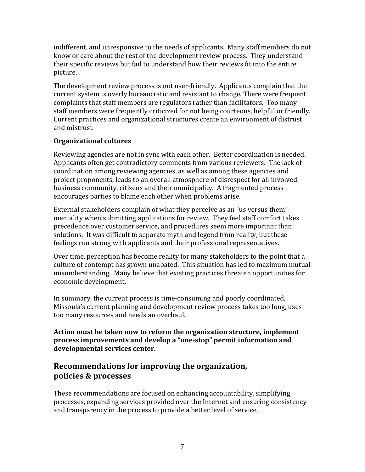indifferent, and unresponsive to the needs of applicants. Many staff members do not know or care about the rest of the development review process. They understand their specific reviews but fail to understand how their reviews fit into the entire picture.

The development review process is not user-friendly. Applicants complain that the current system is overly bureaucratic and resistant to change. There were frequent complaints that staff members are regulators rather than facilitators. Too many staff members were frequently criticized for not being courteous, helpful or friendly. Current practices and organizational structures create an environment of distrust and mistrust.

#### **Organizational cultures**

Reviewing agencies are not in sync with each other. Better coordination is needed. Applicants often get contradictory comments from various reviewers. The lack of coordination among reviewing agencies, as well as among these agencies and project proponents, leads to an overall atmosphere of disrespect for all involved business community, citizens and their municipality. A fragmented process encourages parties to blame each other when problems arise.

External stakeholders complain of what they perceive as an "us versus them" mentality when submitting applications for review. They feel staff comfort takes precedence over customer service, and procedures seem more important than solutions. It was difficult to separate myth and legend from reality, but these feelings run strong with applicants and their professional representatives.

Over time, perception has become reality for many stakeholders to the point that a culture of contempt has grown unabated. This situation has led to maximum mutual misunderstanding. Many believe that existing practices threaten opportunities for economic development.

In summary, the current process is time-consuming and poorly coordinated. Missoula's current planning and development review process takes too long, uses too many resources and needs an overhaul.

**Action must be taken now to reform the organization structure, implement process improvements and develop a "one-stop" permit information and developmental services center.** 

# **Recommendations for improving the organization, policies & processes**

These recommendations are focused on enhancing accountability, simplifying processes, expanding services provided over the Internet and ensuring consistency and transparency in the process to provide a better level of service.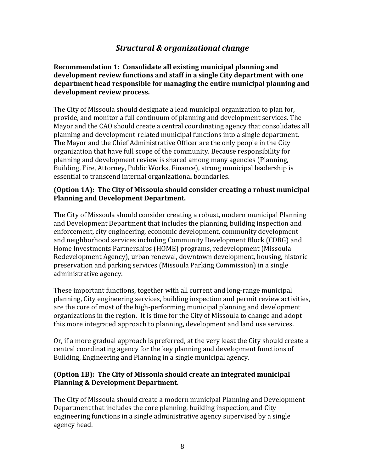# *Structural & organizational change*

**Recommendation 1: Consolidate all existing municipal planning and development review functions and staff in a single City department with one department head responsible for managing the entire municipal planning and development review process.**

The City of Missoula should designate a lead municipal organization to plan for, provide, and monitor a full continuum of planning and development services. The Mayor and the CAO should create a central coordinating agency that consolidates all planning and development-related municipal functions into a single department. The Mayor and the Chief Administrative Officer are the only people in the City organization that have full scope of the community. Because responsibility for planning and development review is shared among many agencies (Planning, Building, Fire, Attorney, Public Works, Finance), strong municipal leadership is essential to transcend internal organizational boundaries.

#### **(Option 1A): The City of Missoula should consider creating a robust municipal Planning and Development Department.**

The City of Missoula should consider creating a robust, modern municipal Planning and Development Department that includes the planning, building inspection and enforcement, city engineering, economic development, community development and neighborhood services including Community Development Block (CDBG) and Home Investments Partnerships (HOME) programs, redevelopment (Missoula Redevelopment Agency), urban renewal, downtown development, housing, historic preservation and parking services (Missoula Parking Commission) in a single administrative agency.

These important functions, together with all current and long-range municipal planning, City engineering services, building inspection and permit review activities, are the core of most of the high-performing municipal planning and development organizations in the region. It is time for the City of Missoula to change and adopt this more integrated approach to planning, development and land use services.

Or, if a more gradual approach is preferred, at the very least the City should create a central coordinating agency for the key planning and development functions of Building, Engineering and Planning in a single municipal agency.

#### **(Option 1B): The City of Missoula should create an integrated municipal Planning & Development Department.**

The City of Missoula should create a modern municipal Planning and Development Department that includes the core planning, building inspection, and City engineering functions in a single administrative agency supervised by a single agency head.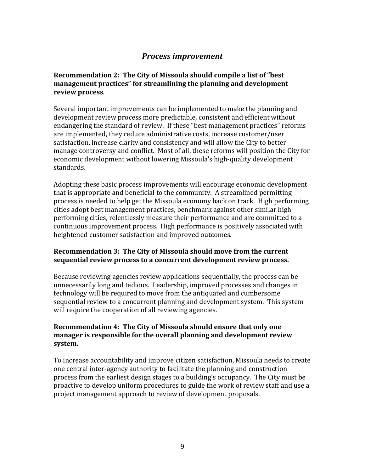# *Process improvement*

#### **Recommendation 2: The City of Missoula should compile a list of "best management practices" for streamlining the planning and development review process**.

Several important improvements can be implemented to make the planning and development review process more predictable, consistent and efficient without endangering the standard of review. If these "best management practices" reforms are implemented, they reduce administrative costs, increase customer/user satisfaction, increase clarity and consistency and will allow the City to better manage controversy and conflict. Most of all, these reforms will position the City for economic development without lowering Missoula's high-quality development standards.

Adopting these basic process improvements will encourage economic development that is appropriate and beneficial to the community. A streamlined permitting process is needed to help get the Missoula economy back on track. High performing cities adopt best management practices, benchmark against other similar high performing cities, relentlessly measure their performance and are committed to a continuous improvement process. High performance is positively associated with heightened customer satisfaction and improved outcomes.

#### **Recommendation 3: The City of Missoula should move from the current sequential review process to a concurrent development review process.**

Because reviewing agencies review applications sequentially, the process can be unnecessarily long and tedious. Leadership, improved processes and changes in technology will be required to move from the antiquated and cumbersome sequential review to a concurrent planning and development system. This system will require the cooperation of all reviewing agencies.

#### **Recommendation 4: The City of Missoula should ensure that only one manager is responsible for the overall planning and development review system.**

To increase accountability and improve citizen satisfaction, Missoula needs to create one central inter-agency authority to facilitate the planning and construction process from the earliest design stages to a building's occupancy. The City must be proactive to develop uniform procedures to guide the work of review staff and use a project management approach to review of development proposals.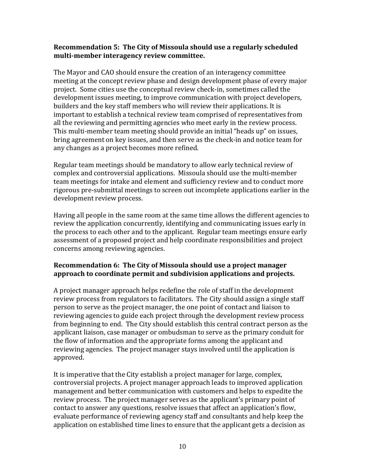#### **Recommendation 5: The City of Missoula should use a regularly scheduled multi-member interagency review committee.**

The Mayor and CAO should ensure the creation of an interagency committee meeting at the concept review phase and design development phase of every major project. Some cities use the conceptual review check-in, sometimes called the development issues meeting, to improve communication with project developers, builders and the key staff members who will review their applications. It is important to establish a technical review team comprised of representatives from all the reviewing and permitting agencies who meet early in the review process. This multi-member team meeting should provide an initial "heads up" on issues, bring agreement on key issues, and then serve as the check-in and notice team for any changes as a project becomes more refined.

Regular team meetings should be mandatory to allow early technical review of complex and controversial applications. Missoula should use the multi-member team meetings for intake and element and sufficiency review and to conduct more rigorous pre-submittal meetings to screen out incomplete applications earlier in the development review process.

Having all people in the same room at the same time allows the different agencies to review the application concurrently, identifying and communicating issues early in the process to each other and to the applicant. Regular team meetings ensure early assessment of a proposed project and help coordinate responsibilities and project concerns among reviewing agencies.

## **Recommendation 6: The City of Missoula should use a project manager approach to coordinate permit and subdivision applications and projects.**

A project manager approach helps redefine the role of staff in the development review process from regulators to facilitators. The City should assign a single staff person to serve as the project manager, the one point of contact and liaison to reviewing agencies to guide each project through the development review process from beginning to end. The City should establish this central contract person as the applicant liaison, case manager or ombudsman to serve as the primary conduit for the flow of information and the appropriate forms among the applicant and reviewing agencies. The project manager stays involved until the application is approved.

It is imperative that the City establish a project manager for large, complex, controversial projects. A project manager approach leads to improved application management and better communication with customers and helps to expedite the review process. The project manager serves as the applicant's primary point of contact to answer any questions, resolve issues that affect an application's flow, evaluate performance of reviewing agency staff and consultants and help keep the application on established time lines to ensure that the applicant gets a decision as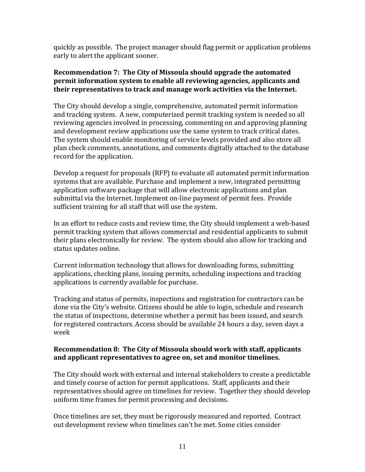quickly as possible. The project manager should flag permit or application problems early to alert the applicant sooner.

#### **Recommendation 7: The City of Missoula should upgrade the automated permit information system to enable all reviewing agencies, applicants and their representatives to track and manage work activities via the Internet.**

The City should develop a single, comprehensive, automated permit information and tracking system. A new, computerized permit tracking system is needed so all reviewing agencies involved in processing, commenting on and approving planning and development review applications use the same system to track critical dates. The system should enable monitoring of service levels provided and also store all plan check comments, annotations, and comments digitally attached to the database record for the application.

Develop a request for proposals (RFP) to evaluate all automated permit information systems that are available. Purchase and implement a new, integrated permitting application software package that will allow electronic applications and plan submittal via the Internet. Implement on-line payment of permit fees. Provide sufficient training for all staff that will use the system.

In an effort to reduce costs and review time, the City should implement a web-based permit tracking system that allows commercial and residential applicants to submit their plans electronically for review. The system should also allow for tracking and status updates online.

Current information technology that allows for downloading forms, submitting applications, checking plans, issuing permits, scheduling inspections and tracking applications is currently available for purchase.

Tracking and status of permits, inspections and registration for contractors can be done via the City's website. Citizens should be able to login, schedule and research the status of inspections, determine whether a permit has been issued, and search for registered contractors. Access should be available 24 hours a day, seven days a week

#### **Recommendation 8: The City of Missoula should work with staff, applicants and applicant representatives to agree on, set and monitor timelines.**

The City should work with external and internal stakeholders to create a predictable and timely course of action for permit applications. Staff, applicants and their representatives should agree on timelines for review. Together they should develop uniform time frames for permit processing and decisions.

Once timelines are set, they must be rigorously measured and reported. Contract out development review when timelines can't be met. Some cities consider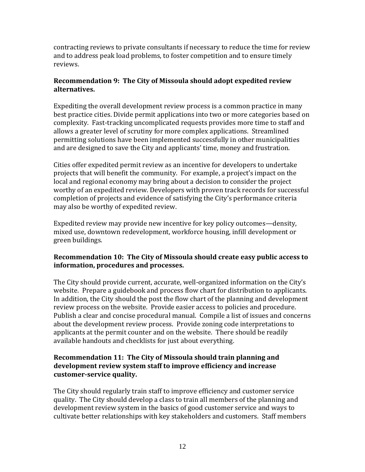contracting reviews to private consultants if necessary to reduce the time for review and to address peak load problems, to foster competition and to ensure timely reviews.

#### **Recommendation 9: The City of Missoula should adopt expedited review alternatives.**

Expediting the overall development review process is a common practice in many best practice cities. Divide permit applications into two or more categories based on complexity. Fast-tracking uncomplicated requests provides more time to staff and allows a greater level of scrutiny for more complex applications. Streamlined permitting solutions have been implemented successfully in other municipalities and are designed to save the City and applicants' time, money and frustration.

Cities offer expedited permit review as an incentive for developers to undertake projects that will benefit the community. For example, a project's impact on the local and regional economy may bring about a decision to consider the project worthy of an expedited review. Developers with proven track records for successful completion of projects and evidence of satisfying the City's performance criteria may also be worthy of expedited review.

Expedited review may provide new incentive for key policy outcomes—density, mixed use, downtown redevelopment, workforce housing, infill development or green buildings.

## **Recommendation 10: The City of Missoula should create easy public access to information, procedures and processes.**

The City should provide current, accurate, well-organized information on the City's website. Prepare a guidebook and process flow chart for distribution to applicants. In addition, the City should the post the flow chart of the planning and development review process on the website. Provide easier access to policies and procedure. Publish a clear and concise procedural manual. Compile a list of issues and concerns about the development review process. Provide zoning code interpretations to applicants at the permit counter and on the website. There should be readily available handouts and checklists for just about everything.

### **Recommendation 11: The City of Missoula should train planning and development review system staff to improve efficiency and increase customer-service quality.**

The City should regularly train staff to improve efficiency and customer service quality. The City should develop a class to train all members of the planning and development review system in the basics of good customer service and ways to cultivate better relationships with key stakeholders and customers. Staff members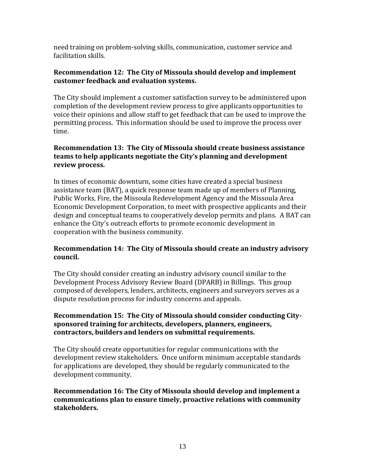need training on problem-solving skills, communication, customer service and facilitation skills.

#### **Recommendation 12: The City of Missoula should develop and implement customer feedback and evaluation systems.**

The City should implement a customer satisfaction survey to be administered upon completion of the development review process to give applicants opportunities to voice their opinions and allow staff to get feedback that can be used to improve the permitting process. This information should be used to improve the process over time.

## **Recommendation 13: The City of Missoula should create business assistance teams to help applicants negotiate the City's planning and development review process.**

In times of economic downturn, some cities have created a special business assistance team (BAT), a quick response team made up of members of Planning, Public Works, Fire, the Missoula Redevelopment Agency and the Missoula Area Economic Development Corporation, to meet with prospective applicants and their design and conceptual teams to cooperatively develop permits and plans. A BAT can enhance the City's outreach efforts to promote economic development in cooperation with the business community.

#### **Recommendation 14: The City of Missoula should create an industry advisory council.**

The City should consider creating an industry advisory council similar to the Development Process Advisory Review Board (DPARB) in Billings. This group composed of developers, lenders, architects, engineers and surveyors serves as a dispute resolution process for industry concerns and appeals.

#### **Recommendation 15: The City of Missoula should consider conducting Citysponsored training for architects, developers, planners, engineers, contractors, builders and lenders on submittal requirements.**

The City should create opportunities for regular communications with the development review stakeholders. Once uniform minimum acceptable standards for applications are developed, they should be regularly communicated to the development community.

**Recommendation 16: The City of Missoula should develop and implement a communications plan to ensure timely, proactive relations with community stakeholders.**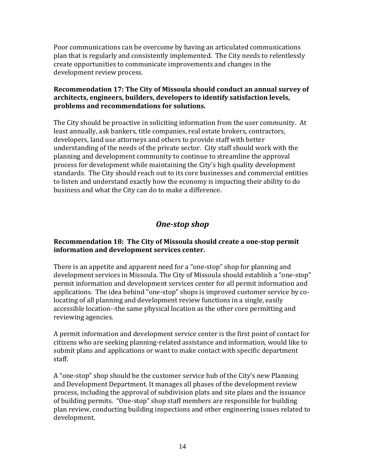Poor communications can be overcome by having an articulated communications plan that is regularly and consistently implemented. The City needs to relentlessly create opportunities to communicate improvements and changes in the development review process.

#### **Recommendation 17: The City of Missoula should conduct an annual survey of architects, engineers, builders, developers to identify satisfaction levels, problems and recommendations for solutions.**

The City should be proactive in soliciting information from the user community. At least annually, ask bankers, title companies, real estate brokers, contractors, developers, land use attorneys and others to provide staff with better understanding of the needs of the private sector. City staff should work with the planning and development community to continue to streamline the approval process for development while maintaining the City's high quality development standards. The City should reach out to its core businesses and commercial entities to listen and understand exactly how the economy is impacting their ability to do business and what the City can do to make a difference.

# *One-stop shop*

#### **Recommendation 18: The City of Missoula should create a one-stop permit information and development services center.**

There is an appetite and apparent need for a "one-stop" shop for planning and development services in Missoula. The City of Missoula should establish a "one-stop" permit information and development services center for all permit information and applications. The idea behind "one-stop" shops is improved customer service by colocating of all planning and development review functions in a single, easily accessible location--the same physical location as the other core permitting and reviewing agencies.

A permit information and development service center is the first point of contact for citizens who are seeking planning-related assistance and information, would like to submit plans and applications or want to make contact with specific department staff.

A "one-stop" shop should be the customer service hub of the City's new Planning and Development Department. It manages all phases of the development review process, including the approval of subdivision plats and site plans and the issuance of building permits. "One-stop" shop staff members are responsible for building plan review, conducting building inspections and other engineering issues related to development.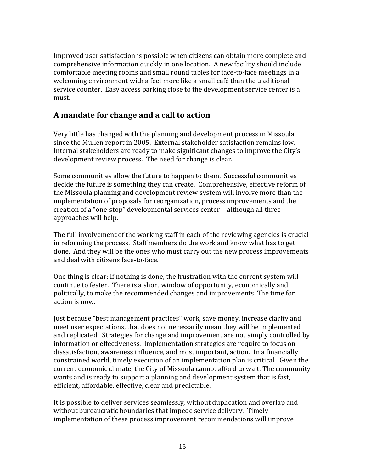Improved user satisfaction is possible when citizens can obtain more complete and comprehensive information quickly in one location. A new facility should include comfortable meeting rooms and small round tables for face-to-face meetings in a welcoming environment with a feel more like a small café than the traditional service counter. Easy access parking close to the development service center is a must.

# **A mandate for change and a call to action**

Very little has changed with the planning and development process in Missoula since the Mullen report in 2005. External stakeholder satisfaction remains low. Internal stakeholders are ready to make significant changes to improve the City's development review process. The need for change is clear.

Some communities allow the future to happen to them. Successful communities decide the future is something they can create. Comprehensive, effective reform of the Missoula planning and development review system will involve more than the implementation of proposals for reorganization, process improvements and the creation of a "one-stop" developmental services center—although all three approaches will help.

The full involvement of the working staff in each of the reviewing agencies is crucial in reforming the process. Staff members do the work and know what has to get done. And they will be the ones who must carry out the new process improvements and deal with citizens face-to-face.

One thing is clear: If nothing is done, the frustration with the current system will continue to fester. There is a short window of opportunity, economically and politically, to make the recommended changes and improvements. The time for action is now.

Just because "best management practices" work, save money, increase clarity and meet user expectations, that does not necessarily mean they will be implemented and replicated. Strategies for change and improvement are not simply controlled by information or effectiveness. Implementation strategies are require to focus on dissatisfaction, awareness influence, and most important, action. In a financially constrained world, timely execution of an implementation plan is critical. Given the current economic climate, the City of Missoula cannot afford to wait. The community wants and is ready to support a planning and development system that is fast, efficient, affordable, effective, clear and predictable.

It is possible to deliver services seamlessly, without duplication and overlap and without bureaucratic boundaries that impede service delivery. Timely implementation of these process improvement recommendations will improve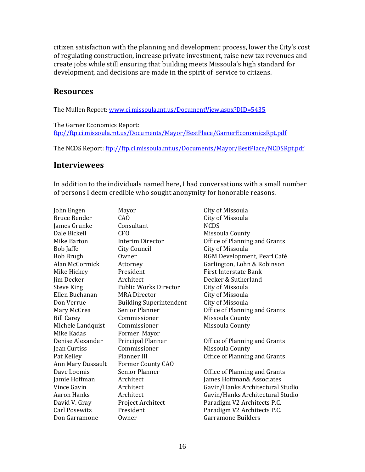citizen satisfaction with the planning and development process, lower the City's cost of regulating construction, increase private investment, raise new tax revenues and create jobs while still ensuring that building meets Missoula's high standard for development, and decisions are made in the spirit of service to citizens.

## **Resources**

The Mullen Report: [www.ci.missoula.mt.us/DocumentView.aspx?DID=5435](http://www.ci.missoula.mt.us/DocumentView.aspx?DID=5435)

The Garner Economics Report: <ftp://ftp.ci.missoula.mt.us/Documents/Mayor/BestPlace/GarnerEconomicsRpt.pdf>

The NCDS Report:<ftp://ftp.ci.missoula.mt.us/Documents/Mayor/BestPlace/NCDSRpt.pdf>

## **Interviewees**

In addition to the individuals named here, I had conversations with a small number of persons I deem credible who sought anonymity for honorable reasons.

John Engen Mayor City of Missoula Bruce Bender CAO CHO City of Missoula James Grunke Consultant NCDS Dale Bickell **CFO** CFO Missoula County Mike Barton Interim Director Office of Planning and Grants Bob Jaffe City Council City Council City of Missoula Bob Brugh Owner Communications Communications and RGM Development, Pearl Café Alan McCormick Attorney Garlington, Lohn & Robinson Mike Hickey President First Interstate Bank Jim Decker Architect Decker & Sutherland Steve King The Public Works Director City of Missoula Ellen Buchanan MRA Director City of Missoula Don Verrue Building Superintendent City of Missoula Mary McCrea Senior Planner **Senior Planner** Office of Planning and Grants Bill Carey **Commissioner** Missoula County Michele Landquist Commissioner Missoula County Mike Kadas **Former Mayor** Denise Alexander Principal Planner Office of Planning and Grants Jean Curtiss Commissioner Missoula County Pat Keiley **Planner III Planner III Community** Office of Planning and Grants Ann Mary Dussault Former County CAO Dave Loomis Senior Planner **Senior Planner** Office of Planning and Grants Jamie Hoffman Architect James Hoffman& Associates Vince Gavin **Architect** Gavin/Hanks Architectural Studio Aaron Hanks Architect Gavin/Hanks Architectural Studio David V. Gray Project Architect Paradigm V2 Architects P.C. Carl Posewitz President Paradigm V2 Architects P.C. Don Garramone Owner Carramone Builders